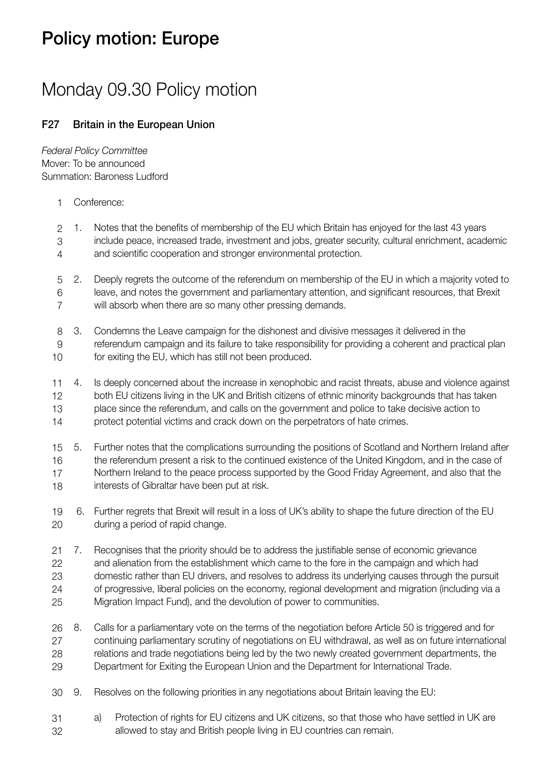## Policy motion: Europe

## Monday 09.30 Policy motion

## F27 Britain in the European Union

*Federal Policy Committee* Mover: To be announced Summation: Baroness Ludford

Conference: 1

1. Notes that the benefits of membership of the EU which Britain has enjoyed for the last 43 years include peace, increased trade, investment and jobs, greater security, cultural enrichment, academic and scientific cooperation and stronger environmental protection. 2 3 4

2. Deeply regrets the outcome of the referendum on membership of the EU in which a majority voted to leave, and notes the government and parliamentary attention, and significant resources, that Brexit will absorb when there are so many other pressing demands. 5 6 7

3. Condemns the Leave campaign for the dishonest and divisive messages it delivered in the referendum campaign and its failure to take responsibility for providing a coherent and practical plan for exiting the EU, which has still not been produced. 8 9 10

4. Is deeply concerned about the increase in xenophobic and racist threats, abuse and violence against both EU citizens living in the UK and British citizens of ethnic minority backgrounds that has taken place since the referendum, and calls on the government and police to take decisive action to protect potential victims and crack down on the perpetrators of hate crimes. 11 12 13 14

5. Further notes that the complications surrounding the positions of Scotland and Northern Ireland after the referendum present a risk to the continued existence of the United Kingdom, and in the case of Northern Ireland to the peace process supported by the Good Friday Agreement, and also that the interests of Gibraltar have been put at risk. 15 16 17 18

 6. Further regrets that Brexit will result in a loss of UK's ability to shape the future direction of the EU during a period of rapid change. 19 20

7. Recognises that the priority should be to address the justifiable sense of economic grievance and alienation from the establishment which came to the fore in the campaign and which had domestic rather than EU drivers, and resolves to address its underlying causes through the pursuit of progressive, liberal policies on the economy, regional development and migration (including via a Migration Impact Fund), and the devolution of power to communities. 21 22 23 24 25

8. Calls for a parliamentary vote on the terms of the negotiation before Article 50 is triggered and for continuing parliamentary scrutiny of negotiations on EU withdrawal, as well as on future international relations and trade negotiations being led by the two newly created government departments, the Department for Exiting the European Union and the Department for International Trade. 26 27 28 29

9. Resolves on the following priorities in any negotiations about Britain leaving the EU: 30

a) Protection of rights for EU citizens and UK citizens, so that those who have settled in UK are allowed to stay and British people living in EU countries can remain. 31 32